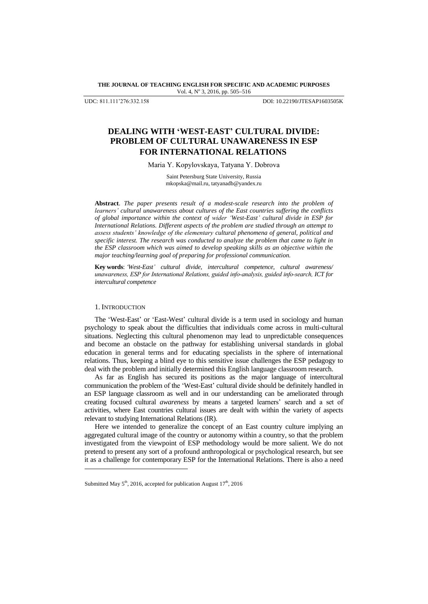**THE JOURNAL OF TEACHING ENGLISH FOR SPECIFIC AND ACADEMIC PURPOSES** Vol. 4, Nº 3, 2016, pp. 505-516

UDC: 811.111"276:332.158 DOI: 10.22190/JTESAP1603505K

# **DEALING WITH 'WEST-EAST' CULTURAL DIVIDE: PROBLEM OF CULTURAL UNAWARENESS IN ESP FOR INTERNATIONAL RELATIONS**

Maria Y. Kopylovskaya, Tatyana Y. Dobrova

Saint Petersburg State University, Russia [mkopska@mail.ru,](mailto:mkopska@mail.ru) [tatyanadb@yandex.ru](mailto:tatyanadb@yandex.ru)

**Abstract**. *The paper presents result of a modest-scale research into the problem of learners' cultural unawareness about cultures of the East countries suffering the conflicts of global importance within the context of wider 'West-East' cultural divide in ESP for International Relations. Different aspects of the problem are studied through an attempt to assess students' knowledge of the elementary cultural phenomena of general, political and specific interest. The research was conducted to analyze the problem that came to light in the ESP classroom which was aimed to develop speaking skills as an objective within the major teaching/learning goal of preparing for professional communication.*

**Key words**: *'West-East' cultural divide, intercultural competence, cultural awareness/ unawareness, ESP for International Relations, guided info-analysis, guided info-search, ICT for intercultural competence*

### 1. INTRODUCTION

l

The "West-East" or "East-West" cultural divide is a term used in sociology and human psychology to speak about the difficulties that individuals come across in multi-cultural situations. Neglecting this cultural phenomenon may lead to unpredictable consequences and become an obstacle on the pathway for establishing universal standards in global education in general terms and for educating specialists in the sphere of international relations. Thus, keeping a blind eye to this sensitive issue challenges the ESP pedagogy to deal with the problem and initially determined this English language classroom research.

As far as English has secured its positions as the major language of intercultural communication the problem of the 'West-East' cultural divide should be definitely handled in an ESP language classroom as well and in our understanding can be ameliorated through creating focused cultural *awareness* by means a targeted learners" search and a set of activities, where East countries cultural issues are dealt with within the variety of aspects relevant to studying International Relations (IR).

Here we intended to generalize the concept of an East country culture implying an aggregated cultural image of the country or autonomy within a country, so that the problem investigated from the viewpoint of ESP methodology would be more salient. We do not pretend to present any sort of a profound anthropological or psychological research, but see it as a challenge for contemporary ESP for the International Relations. There is also a need

Submitted May  $5<sup>th</sup>$ , 2016, accepted for publication August  $17<sup>th</sup>$ , 2016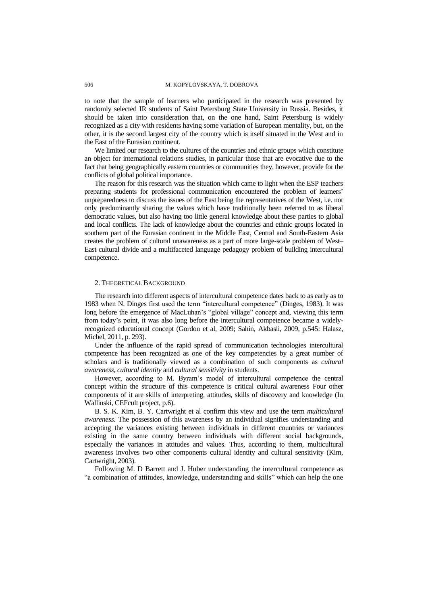to note that the sample of learners who participated in the research was presented by randomly selected IR students of Saint Petersburg State University in Russia. Besides, it should be taken into consideration that, on the one hand, Saint Petersburg is widely recognized as a city with residents having some variation of European mentality, but, on the other, it is the second largest city of the country which is itself situated in the West and in the East of the Eurasian continent.

We limited our research to the cultures of the countries and ethnic groups which constitute an object for international relations studies, in particular those that are evocative due to the fact that being geographically eastern countries or communities they, however, provide for the conflicts of global political importance.

The reason for this research was the situation which came to light when the ESP teachers preparing students for professional communication encountered the problem of learners' unpreparedness to discuss the issues of the East being the representatives of the West, i.e. not only predominantly sharing the values which have traditionally been referred to as liberal democratic values, but also having too little general knowledge about these parties to global and local conflicts. The lack of knowledge about the countries and ethnic groups located in southern part of the Eurasian continent in the Middle East, Central and South-Eastern Asia creates the problem of cultural unawareness as a part of more large-scale problem of West– East cultural divide and a multifaceted language pedagogy problem of building intercultural competence.

#### 2. THEORETICAL BACKGROUND

The research into different aspects of intercultural competence dates back to as early as to 1983 when N. Dinges first used the term "intercultural competence" (Dinges, 1983). It was long before the emergence of MacLuhan's "global village" concept and, viewing this term from today"s point, it was also long before the intercultural competence became a widelyrecognized educational concept (Gordon et al, 2009; Sahin, Akbasli, 2009, p.545: Halasz, Michel, 2011, p. 293).

Under the influence of the rapid spread of communication technologies intercultural competence has been recognized as one of the key competencies by a great number of scholars and is traditionally viewed as a combination of such components as *cultural awareness, cultural identity* and *cultural sensitivity* in students.

However, according to M. Byram"s model of intercultural competence the central concept within the structure of this competence is critical cultural awareness Four other components of it are skills of interpreting, attitudes, skills of discovery and knowledge (In Wallinski, CEFcult project, p.6).

B. S. K. Kim, B. Y. Cartwright et al confirm this view and use the term *multicultural awareness*. The possession of this awareness by an individual signifies understanding and accepting the variances existing between individuals in different countries or variances existing in the same country between individuals with different social backgrounds, especially the variances in attitudes and values. Thus, according to them, multicultural awareness involves two other components cultural identity and cultural sensitivity (Kim, Cartwright, 2003).

Following M. D Barrett and J. Huber understanding the intercultural competence as "a combination of attitudes, knowledge, understanding and skills" which can help the one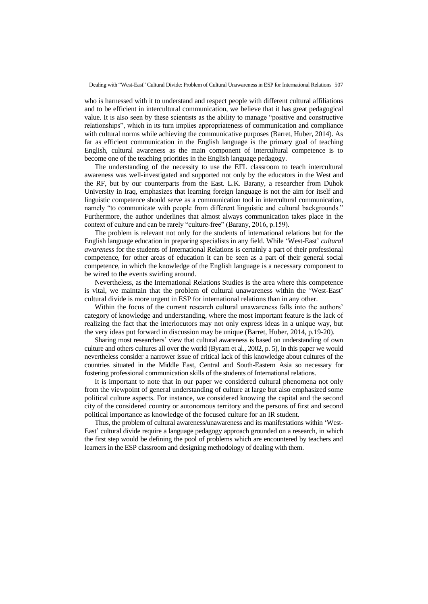who is harnessed with it to understand and respect people with different cultural affiliations and to be efficient in intercultural communication, we believe that it has great pedagogical value. It is also seen by these scientists as the ability to manage "positive and constructive relationships", which in its turn implies appropriateness of communication and compliance with cultural norms while achieving the communicative purposes (Barret, Huber, 2014). As far as efficient communication in the English language is the primary goal of teaching English, cultural awareness as the main component of intercultural competence is to become one of the teaching priorities in the English language pedagogy.

The understanding of the necessity to use the EFL classroom to teach intercultural awareness was well-investigated and supported not only by the educators in the West and the RF, but by our counterparts from the East. L.K. Barany, a researcher from Duhok University in Iraq, emphasizes that learning foreign language is not the aim for itself and linguistic competence should serve as a communication tool in intercultural communication, namely "to communicate with people from different linguistic and cultural backgrounds." Furthermore, the author underlines that almost always communication takes place in the context of culture and can be rarely "culture-free" (Barany, 2016, p.159).

The problem is relevant not only for the students of international relations but for the English language education in preparing specialists in any field. While "West-East" *cultural awareness* for the students of International Relations is certainly a part of their professional competence, for other areas of education it can be seen as a part of their general social competence, in which the knowledge of the English language is a necessary component to be wired to the events swirling around.

Nevertheless, as the International Relations Studies is the area where this competence is vital, we maintain that the problem of cultural unawareness within the 'West-East' cultural divide is more urgent in ESP for international relations than in any other.

Within the focus of the current research cultural unawareness falls into the authors' category of knowledge and understanding, where the most important feature is the lack of realizing the fact that the interlocutors may not only express ideas in a unique way, but the very ideas put forward in discussion may be unique (Barret, Huber, 2014, p.19-20).

Sharing most researchers" view that cultural awareness is based on understanding of own culture and others cultures all over the world (Byram et al., 2002, p. 5), in this paper we would nevertheless consider a narrower issue of critical lack of this knowledge about cultures of the countries situated in the Middle East, Central and South-Eastern Asia so necessary for fostering professional communication skills of the students of International relations.

It is important to note that in our paper we considered cultural phenomena not only from the viewpoint of general understanding of culture at large but also emphasized some political culture aspects. For instance, we considered knowing the capital and the second city of the considered country or autonomous territory and the persons of first and second political importance as knowledge of the focused culture for an IR student.

Thus, the problem of cultural awareness/unawareness and its manifestations within "West-East" cultural divide require a language pedagogy approach grounded on a research, in which the first step would be defining the pool of problems which are encountered by teachers and learners in the ESP classroom and designing methodology of dealing with them.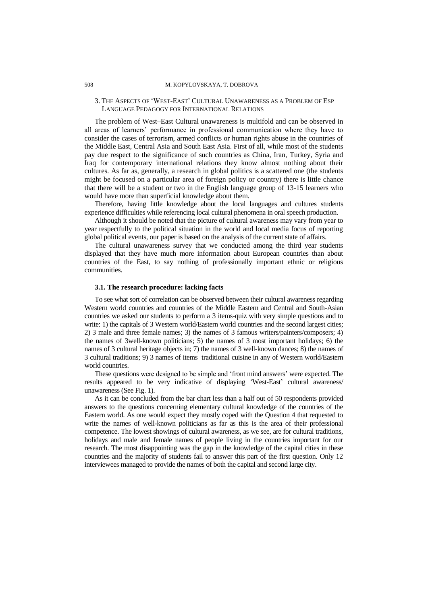### 508 M. KOPYLOVSKAYA, T. DOBROVA

### 3. THE ASPECTS OF "WEST-EAST" CULTURAL UNAWARENESS AS A PROBLEM OF ESP LANGUAGE PEDAGOGY FOR INTERNATIONAL RELATIONS

The problem of West–East Cultural unawareness is multifold and can be observed in all areas of learners" performance in professional communication where they have to consider the cases of terrorism, armed conflicts or human rights abuse in the countries of the Middle East, Central Asia and South East Asia. First of all, while most of the students pay due respect to the significance of such countries as China, Iran, Turkey, Syria and Iraq for contemporary international relations they know almost nothing about their cultures. As far as, generally, a research in global politics is a scattered one (the students might be focused on a particular area of foreign policy or country) there is little chance that there will be a student or two in the English language group of 13-15 learners who would have more than superficial knowledge about them.

Therefore, having little knowledge about the local languages and cultures students experience difficulties while referencing local cultural phenomena in oral speech production.

Although it should be noted that the picture of cultural awareness may vary from year to year respectfully to the political situation in the world and local media focus of reporting global political events, our paper is based on the analysis of the current state of affairs.

The cultural unawareness survey that we conducted among the third year students displayed that they have much more information about European countries than about countries of the East, to say nothing of professionally important ethnic or religious communities.

### **3.1. The research procedure: lacking facts**

To see what sort of correlation can be observed between their cultural awareness regarding Western world countries and countries of the Middle Eastern and Central and South-Asian countries we asked our students to perform a 3 items-quiz with very simple questions and to write: 1) the capitals of 3 Western world/Eastern world countries and the second largest cities; 2) 3 male and three female names; 3) the names of 3 famous writers/painters/composers; 4) the names of 3well-known politicians; 5) the names of 3 most important holidays; 6) the names of 3 cultural heritage objects in; 7) the names of 3 well-known dances; 8) the names of 3 cultural traditions; 9) 3 names of items traditional cuisine in any of Western world/Eastern world countries.

These questions were designed to be simple and "front mind answers" were expected. The results appeared to be very indicative of displaying "West-East" cultural awareness/ unawareness (See Fig. 1).

As it can be concluded from the bar chart less than a half out of 50 respondents provided answers to the questions concerning elementary cultural knowledge of the countries of the Eastern world. As one would expect they mostly coped with the Question 4 that requested to write the names of well-known politicians as far as this is the area of their professional competence. The lowest showings of cultural awareness, as we see, are for cultural traditions, holidays and male and female names of people living in the countries important for our research. The most disappointing was the gap in the knowledge of the capital cities in these countries and the majority of students fail to answer this part of the first question. Only 12 interviewees managed to provide the names of both the capital and second large city.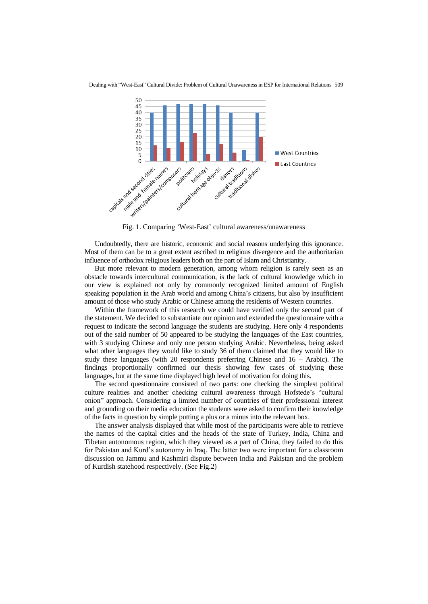

Undoubtedly, there are historic, economic and social reasons underlying this ignorance. Most of them can be to a great extent ascribed to religious divergence and the authoritarian influence of orthodox religious leaders both on the part of Islam and Christianity.

But more relevant to modern generation, among whom religion is rarely seen as an obstacle towards intercultural communication, is the lack of cultural knowledge which in our view is explained not only by commonly recognized limited amount of English speaking population in the Arab world and among China"s citizens, but also by insufficient amount of those who study Arabic or Chinese among the residents of Western countries.

Within the framework of this research we could have verified only the second part of the statement. We decided to substantiate our opinion and extended the questionnaire with a request to indicate the second language the students are studying. Here only 4 respondents out of the said number of 50 appeared to be studying the languages of the East countries, with 3 studying Chinese and only one person studying Arabic. Nevertheless, being asked what other languages they would like to study 36 of them claimed that they would like to study these languages (with 20 respondents preferring Chinese and 16 – Arabic). The findings proportionally confirmed our thesis showing few cases of studying these languages, but at the same time displayed high level of motivation for doing this.

The second questionnaire consisted of two parts: one checking the simplest political culture realities and another checking cultural awareness through Hofstede"s "cultural onion" approach. Considering a limited number of countries of their professional interest and grounding on their media education the students were asked to confirm their knowledge of the facts in question by simple putting a plus or a minus into the relevant box.

The answer analysis displayed that while most of the participants were able to retrieve the names of the capital cities and the heads of the state of Turkey, India, China and Tibetan autonomous region, which they viewed as a part of China, they failed to do this for Pakistan and Kurd"s autonomy in Iraq. The latter two were important for a classroom discussion on Jammu and Kashmiri dispute between India and Pakistan and the problem of Kurdish statehood respectively. (See Fig.2)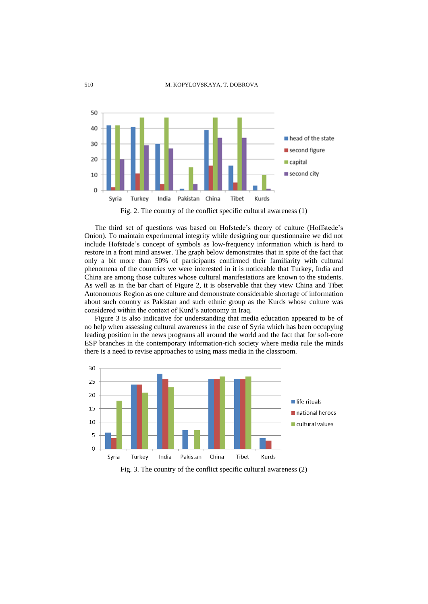

Fig. 2. The country of the conflict specific cultural awareness (1)

The third set of questions was based on Hofstede"s theory of culture (Hoffstede"s Onion). To maintain experimental integrity while designing our questionnaire we did not include Hofstede"s concept of symbols as low-frequency information which is hard to restore in a front mind answer. The graph below demonstrates that in spite of the fact that only a bit more than 50% of participants confirmed their familiarity with cultural phenomena of the countries we were interested in it is noticeable that Turkey, India and China are among those cultures whose cultural manifestations are known to the students. As well as in the bar chart of Figure 2, it is observable that they view China and Tibet Autonomous Region as one culture and demonstrate considerable shortage of information about such country as Pakistan and such ethnic group as the Kurds whose culture was considered within the context of Kurd"s autonomy in Iraq.

Figure 3 is also indicative for understanding that media education appeared to be of no help when assessing cultural awareness in the case of Syria which has been occupying leading position in the news programs all around the world and the fact that for soft-core ESP branches in the contemporary information-rich society where media rule the minds there is a need to revise approaches to using mass media in the classroom.



Fig. 3. The country of the conflict specific cultural awareness (2)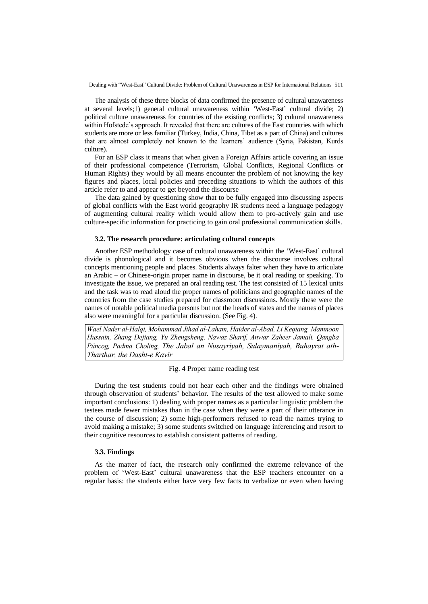The analysis of these three blocks of data confirmed the presence of cultural unawareness at several levels;1) general cultural unawareness within "West-East" cultural divide; 2) political culture unawareness for countries of the existing conflicts; 3) cultural unawareness within Hofstede"s approach. It revealed that there are cultures of the East countries with which students are more or less familiar (Turkey, India, China, Tibet as a part of China) and cultures that are almost completely not known to the learners" audience (Syria, Pakistan, Kurds culture).

For an ESP class it means that when given a Foreign Affairs article covering an issue of their professional competence (Terrorism, Global Conflicts, Regional Conflicts or Human Rights) they would by all means encounter the problem of not knowing the key figures and places, local policies and preceding situations to which the authors of this article refer to and appear to get beyond the discourse

The data gained by questioning show that to be fully engaged into discussing aspects of global conflicts with the East world geography IR students need a language pedagogy of augmenting cultural reality which would allow them to pro-actively gain and use culture-specific information for practicing to gain oral professional communication skills.

### **3.2. The research procedure: articulating cultural concepts**

Another ESP methodology case of cultural unawareness within the 'West-East' cultural divide is phonological and it becomes obvious when the discourse involves cultural concepts mentioning people and places. Students always falter when they have to articulate an Arabic – or Chinese-origin proper name in discourse, be it oral reading or speaking. To investigate the issue, we prepared an oral reading test. The test consisted of 15 lexical units and the task was to read aloud the proper names of politicians and geographic names of the countries from the case studies prepared for classroom discussions. Mostly these were the names of notable political media persons but not the heads of states and the names of places also were meaningful for a particular discussion. (See Fig. 4).

*Wael Nader al-Halqi, Mohammad Jihad al-Laham, Haider al-Abad, Li Keqiang, Mamnoon Hussain, Zhang Dejiang, Yu Zhengsheng, Nawaz Sharif, Anwar Zaheer Jamali, Qangba Püncog, Padma Choling, The Jabal an Nusayriyah, Sulaymaniyah, Buhayrat ath-Tharthar, the Dasht-e Kavir*

### Fig. 4 Proper name reading test

During the test students could not hear each other and the findings were obtained through observation of students" behavior. The results of the test allowed to make some important conclusions: 1) dealing with proper names as a particular linguistic problem the testees made fewer mistakes than in the case when they were a part of their utterance in the course of discussion; 2) some high-performers refused to read the names trying to avoid making a mistake; 3) some students switched on language inferencing and resort to their cognitive resources to establish consistent patterns of reading.

### **3.3. Findings**

As the matter of fact, the research only confirmed the extreme relevance of the problem of "West-East" cultural unawareness that the ESP teachers encounter on a regular basis: the students either have very few facts to verbalize or even when having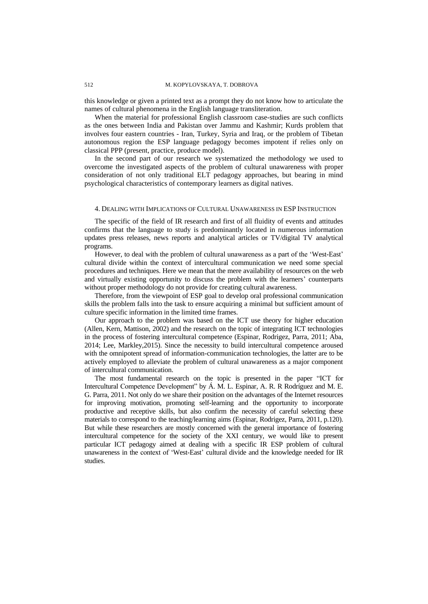this knowledge or given a printed text as a prompt they do not know how to articulate the names of cultural phenomena in the English language transliteration.

When the material for professional English classroom case-studies are such conflicts as the ones between India and Pakistan over Jammu and Kashmir; Kurds problem that involves four eastern countries - Iran, Turkey, Syria and Iraq, or the problem of Tibetan autonomous region the ESP language pedagogy becomes impotent if relies only on classical PPP (present, practice, produce model).

In the second part of our research we systematized the methodology we used to overcome the investigated aspects of the problem of cultural unawareness with proper consideration of not only traditional ELT pedagogy approaches, but bearing in mind psychological characteristics of contemporary learners as digital natives.

### 4. DEALING WITH IMPLICATIONS OF CULTURAL UNAWARENESS IN ESP INSTRUCTION

The specific of the field of IR research and first of all fluidity of events and attitudes confirms that the language to study is predominantly located in numerous information updates press releases, news reports and analytical articles or TV/digital TV analytical programs.

However, to deal with the problem of cultural unawareness as a part of the 'West-East' cultural divide within the context of intercultural communication we need some special procedures and techniques. Here we mean that the mere availability of resources on the web and virtually existing opportunity to discuss the problem with the learners" counterparts without proper methodology do not provide for creating cultural awareness.

Therefore, from the viewpoint of ESP goal to develop oral professional communication skills the problem falls into the task to ensure acquiring a minimal but sufficient amount of culture specific information in the limited time frames.

Our approach to the problem was based on the ICT use theory for higher education (Allen, Kern, Mattison, 2002) and the research on the topic of integrating ICT technologies in the process of fostering intercultural competence (Espinar, Rodrigez, Parra, 2011; Aba, 2014; Lee, Markley,2015). Since the necessity to build intercultural competence aroused with the omnipotent spread of information-communication technologies, the latter are to be actively employed to alleviate the problem of cultural unawareness as a major component of intercultural communication.

The most fundamental research on the topic is presented in the paper "ICT for Intercultural Competence Development" by Á. M. L. Espinar, A. R. R Rodríguez and M. E. G. Parra, 2011. Not only do we share their position on the advantages of the Internet resources for improving motivation, promoting self-learning and the opportunity to incorporate productive and receptive skills, but also confirm the necessity of careful selecting these materials to correspond to the teaching/learning aims (Espinar, Rodrigez, Parra, 2011, p.120). But while these researchers are mostly concerned with the general importance of fostering intercultural competence for the society of the XXI century, we would like to present particular ICT pedagogy aimed at dealing with a specific IR ESP problem of cultural unawareness in the context of "West-East" cultural divide and the knowledge needed for IR studies.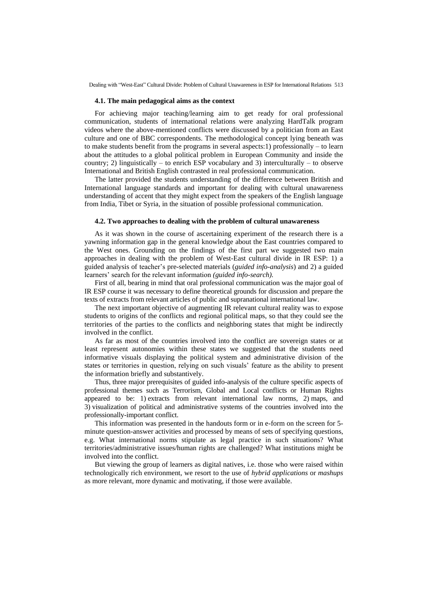#### **4.1. The main pedagogical aims as the context**

For achieving major teaching/learning aim to get ready for oral professional communication, students of international relations were analyzing HardTalk program videos where the above-mentioned conflicts were discussed by a politician from an East culture and one of BBC correspondents. The methodological concept lying beneath was to make students benefit from the programs in several aspects:1) professionally – to learn about the attitudes to a global political problem in European Community and inside the country; 2) linguistically – to enrich ESP vocabulary and 3) interculturally – to observe International and British English contrasted in real professional communication.

The latter provided the students understanding of the difference between British and International language standards and important for dealing with cultural unawareness understanding of accent that they might expect from the speakers of the English language from India, Tibet or Syria, in the situation of possible professional communication.

#### **4.2. Two approaches to dealing with the problem of cultural unawareness**

As it was shown in the course of ascertaining experiment of the research there is a yawning information gap in the general knowledge about the East countries compared to the West ones. Grounding on the findings of the first part we suggested two main approaches in dealing with the problem of West-East cultural divide in IR ESP: 1) a guided analysis of teacher"s pre-selected materials (*guided info-analysis*) and 2) a guided learners' search for the relevant information *(guided info-search)*.

First of all, bearing in mind that oral professional communication was the major goal of IR ESP course it was necessary to define theoretical grounds for discussion and prepare the texts of extracts from relevant articles of public and supranational international law.

The next important objective of augmenting IR relevant cultural reality was to expose students to origins of the conflicts and regional political maps, so that they could see the territories of the parties to the conflicts and neighboring states that might be indirectly involved in the conflict.

As far as most of the countries involved into the conflict are sovereign states or at least represent autonomies within these states we suggested that the students need informative visuals displaying the political system and administrative division of the states or territories in question, relying on such visuals" feature as the ability to present the information briefly and substantively.

Thus, three major prerequisites of guided info-analysis of the culture specific aspects of professional themes such as Terrorism, Global and Local conflicts or Human Rights appeared to be: 1) extracts from relevant international law norms, 2) maps, and 3) visualization of political and administrative systems of the countries involved into the professionally-important conflict.

This information was presented in the handouts form or in e-form on the screen for 5 minute question-answer activities and processed by means of sets of specifying questions, e.g. What international norms stipulate as legal practice in such situations? What territories/administrative issues/human rights are challenged? What institutions might be involved into the conflict.

But viewing the group of learners as digital natives, i.e. those who were raised within technologically rich environment, we resort to the use of *hybrid applications* or *mashups* as more relevant, more dynamic and motivating, if those were available.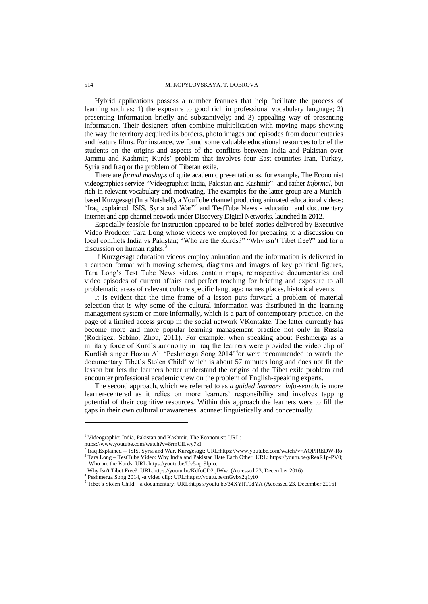Hybrid applications possess a number features that help facilitate the process of learning such as: 1) the exposure to good rich in professional vocabulary language; 2) presenting information briefly and substantively; and 3) appealing way of presenting information. Their designers often combine multiplication with moving maps showing the way the territory acquired its borders, photo images and episodes from documentaries and feature films. For instance, we found some valuable educational resources to brief the students on the origins and aspects of the conflicts between India and Pakistan over Jammu and Kashmir; Kurds' problem that involves four East countries Iran, Turkey, Syria and Iraq or the problem of Tibetan exile.

There are *formal mashups* of quite academic presentation as, for example, The Economist videographics service "Videographic: India, Pakistan and Kashmir"<sup>1</sup> and rather *informal*, but rich in relevant vocabulary and motivating. The examples for the latter group are a Munichbased Kurzgesagt (In a Nutshell), a YouTube channel producing animated educational videos: "Iraq explained: ISIS, Syria and War"<sup>2</sup> and TestTube News - education and documentary internet and app channel network under Discovery Digital Networks, launched in 2012.

Especially feasible for instruction appeared to be brief stories delivered by Executive Video Producer Tara Long whose videos we employed for preparing to a discussion on local conflicts India vs Pakistan; "Who are the Kurds?" "Why isn't Tibet free?" and for a discussion on human rights.<sup>3</sup>

If Kurzgesagt education videos employ animation and the information is delivered in a cartoon format with moving schemes, diagrams and images of key political figures, Tara Long"s Test Tube News videos contain maps, retrospective documentaries and video episodes of current affairs and perfect teaching for briefing and exposure to all problematic areas of relevant culture specific language: names places, historical events.

It is evident that the time frame of a lesson puts forward a problem of material selection that is why some of the cultural information was distributed in the learning management system or more informally, which is a part of contemporary practice, on the page of a limited access group in the social network VKontakte. The latter currently has become more and more popular learning management practice not only in Russia (Rodrigez, Sabino, Zhou, 2011). For example, when speaking about Peshmerga as a military force of Kurd"s autonomy in Iraq the learners were provided the video clip of Kurdish singer Hozan Ali "Peshmerga Song 2014"<sup>4</sup> or were recommended to watch the documentary Tibet's Stolen Child<sup>5</sup> which is about 57 minutes long and does not fit the lesson but lets the learners better understand the origins of the Tibet exile problem and encounter professional academic view on the problem of English-speaking experts.

The second approach, which we referred to as *a guided learners' info-search,* is more learner-centered as it relies on more learners' responsibility and involves tapping potential of their cognitive resources. Within this approach the learners were to fill the gaps in their own cultural unawareness lacunae: linguistically and conceptually.

l

<sup>&</sup>lt;sup>1</sup> Videographic: India, Pakistan and Kashmir, The Economist: URL:

https://www.youtube.com/watch?v=8rmUiLwy7kI

<sup>2</sup> Iraq Explained -- ISIS, Syria and War, Kurzgesagt: URL:https://www.youtube.com/watch?v=AQPlREDW-Ro <sup>3</sup> Tara Long – TestTube Video: Why India and Pakistan Hate Each Other: URL: https://youtu.be/yReaR1p-PV0; Who are the Kurds: URL:https://youtu.be/Uv5-q\_9fpro.

Why Isn't Tibet Free?: URL:https://youtu.be/KdfoCD2qfWw. (Accessed 23, December 2016)

<sup>4</sup> Peshmerga Song 2014, -a video clip: URL:https://youtu.be/mGvbx2q1yf0

<sup>5</sup> Tibet"s Stolen Child – a documentary: URL:https://youtu.be/34XYItT9dYA (Accessed 23, December 2016)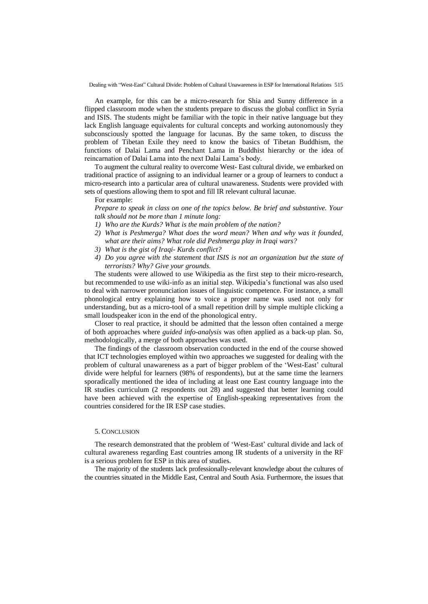An example, for this can be a micro-research for Shia and Sunny difference in a flipped classroom mode when the students prepare to discuss the global conflict in Syria and ISIS. The students might be familiar with the topic in their native language but they lack English language equivalents for cultural concepts and working autonomously they subconsciously spotted the language for lacunas. By the same token, to discuss the problem of Tibetan Exile they need to know the basics of Tibetan Buddhism, the functions of Dalai Lama and Penchant Lama in Buddhist hierarchy or the idea of reincarnation of Dalai Lama into the next Dalai Lama"s body.

To augment the cultural reality to overcome West- East cultural divide, we embarked on traditional practice of assigning to an individual learner or a group of learners to conduct a micro-research into a particular area of cultural unawareness. Students were provided with sets of questions allowing them to spot and fill IR relevant cultural lacunae.

## For example:

*Prepare to speak in class on one of the topics below. Be brief and substantive. Your talk should not be more than 1 minute long:*

- *1) Who are the Kurds? What is the main problem of the nation?*
- *2) What is Peshmerga? What does the word mean? When and why was it founded, what are their aims? What role did Peshmerga play in Iraqi wars?*
- *3) What is the gist of Iraqi- Kurds conflict?*
- *4) Do you agree with the statement that ISIS is not an organization but the state of terrorists? Why? Give your grounds.*

The students were allowed to use Wikipedia as the first step to their micro-research, but recommended to use wiki-info as an initial step. Wikipedia"s functional was also used to deal with narrower pronunciation issues of linguistic competence. For instance, a small phonological entry explaining how to voice a proper name was used not only for understanding, but as a micro-tool of a small repetition drill by simple multiple clicking a small loudspeaker icon in the end of the phonological entry.

Closer to real practice, it should be admitted that the lesson often contained a merge of both approaches where *guided info-analysis* was often applied as a back-up plan. So, methodologically, a merge of both approaches was used.

The findings of the classroom observation conducted in the end of the course showed that ICT technologies employed within two approaches we suggested for dealing with the problem of cultural unawareness as a part of bigger problem of the 'West-East' cultural divide were helpful for learners (98% of respondents), but at the same time the learners sporadically mentioned the idea of including at least one East country language into the IR studies curriculum (2 respondents out 28) and suggested that better learning could have been achieved with the expertise of English-speaking representatives from the countries considered for the IR ESP case studies.

### 5. CONCLUSION

The research demonstrated that the problem of "West-East" cultural divide and lack of cultural awareness regarding East countries among IR students of a university in the RF is a serious problem for ESP in this area of studies.

The majority of the students lack professionally-relevant knowledge about the cultures of the countries situated in the Middle East, Central and South Asia. Furthermore, the issues that